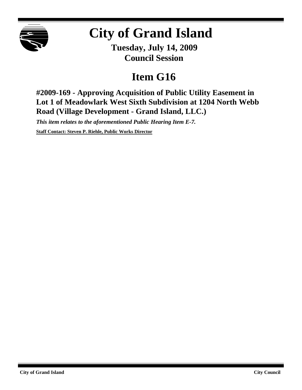

## **City of Grand Island**

**Tuesday, July 14, 2009 Council Session**

## **Item G16**

**#2009-169 - Approving Acquisition of Public Utility Easement in Lot 1 of Meadowlark West Sixth Subdivision at 1204 North Webb Road (Village Development - Grand Island, LLC.)**

*This item relates to the aforementioned Public Hearing Item E-7.*

**Staff Contact: Steven P. Riehle, Public Works Director**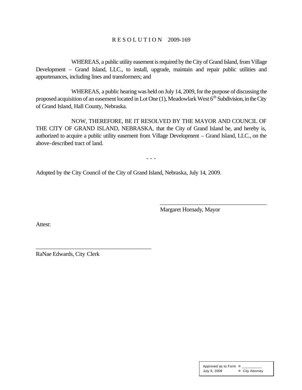## R E S O L U T I O N 2009-169

WHEREAS, a public utility easement is required by the City of Grand Island, from Village Development – Grand Island, LLC., to install, upgrade, maintain and repair public utilities and appurtenances, including lines and transformers; and

WHEREAS, a public hearing was held on July 14, 2009, for the purpose of discussing the proposed acquisition of an easement located in Lot One  $(1)$ , Meadowlark West  $6<sup>th</sup>$  Subdivision, in the City of Grand Island, Hall County, Nebraska.

NOW, THEREFORE, BE IT RESOLVED BY THE MAYOR AND COUNCIL OF THE CITY OF GRAND ISLAND, NEBRASKA, that the City of Grand Island be, and hereby is, authorized to acquire a public utility easement from Village Development – Grand Island, LLC., on the above-described tract of land.

- - -

Adopted by the City Council of the City of Grand Island, Nebraska, July 14, 2009.

Margaret Hornady, Mayor

\_\_\_\_\_\_\_\_\_\_\_\_\_\_\_\_\_\_\_\_\_\_\_\_\_\_\_\_\_\_\_\_\_\_\_\_\_\_\_

Attest:

RaNae Edwards, City Clerk

\_\_\_\_\_\_\_\_\_\_\_\_\_\_\_\_\_\_\_\_\_\_\_\_\_\_\_\_\_\_\_\_\_\_\_\_\_\_\_

Approved as to Form  $\pi$ July 9, 2009 ¤ City Attorney